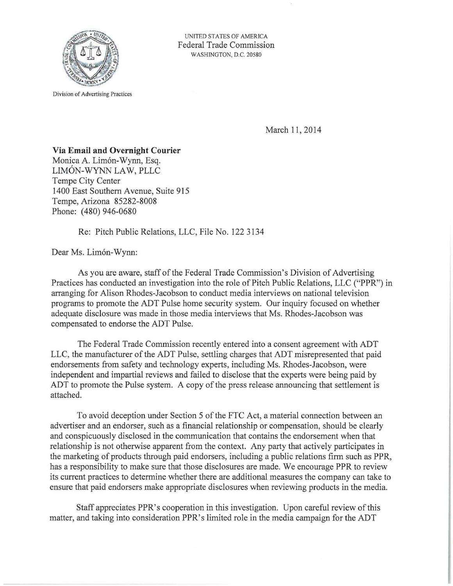

Division of Advertising Practices

UNITED STATES OF AMERICA Federal Trade Commission WASHINGTON, D.C. 20580

March 11, 2014

## **Via Email and Overnight Courier**

Monica A. Limón-Wynn, Esq. LIMON-WYNN LAW, PLLC Tempe City Center 1400 East Southern Avenue, Suite 915 Tempe, Arizona 85282-8008 Phone: (480) 946-0680

Re: Pitch Public Relations, LLC, File No. 122 3134

Dear Ms. Limón-Wynn:

As you are aware, staff of the Federal Trade Commission's Division of Advertising Practices has conducted an investigation into the role of Pitch Public Relations, LLC ("PPR") in arranging for Alison Rhodes-Jacobson to conduct media interviews on national television programs to promote the ADT Pulse home security system. Our inquiry focused on whether adequate disclosure was made in those media interviews that Ms. Rhodes-Jacobson was compensated to endorse the ADT Pulse.

The Federal Trade Commission recently entered into a consent agreement with ADT LLC, the manufacturer of the ADT Pulse, settling charges that ADT misrepresented that paid endorsements from safety and technology experts, including Ms. Rhodes-Jacobson, were independent and impartial reviews and failed to disclose that the experts were being paid by ADT to promote the Pulse system. A copy of the press release announcing that settlement is attached.

To avoid deception under Section 5 of the FTC Act, a material connection between an advertiser and an endorser, such as a financial relationship or compensation, should be clearly and conspicuously disclosed in the communication that contains the endorsement when that relationship is not otherwise apparent from the context. Any party that actively participates in the marketing of products through paid endorsers, including a public relations firm such as PPR, has a responsibility to make sure that those disclosures are made. We encourage PPR to review its current practices to determine whether there are additional measures the company can take to ensure that paid endorsers make appropriate disclosures when reviewing products in the media.

Staff appreciates PPR's cooperation in this investigation. Upon careful review of this matter, and taking into consideration PPR's limited role in the media campaign for the ADT